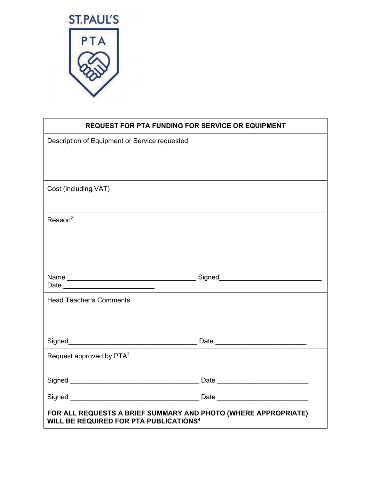

| <b>REQUEST FOR PTA FUNDING FOR SERVICE OR EQUIPMENT</b>                                                                    |  |
|----------------------------------------------------------------------------------------------------------------------------|--|
| Description of Equipment or Service requested                                                                              |  |
|                                                                                                                            |  |
|                                                                                                                            |  |
| Cost (including VAT) <sup>1</sup>                                                                                          |  |
|                                                                                                                            |  |
| Reason <sup>2</sup>                                                                                                        |  |
|                                                                                                                            |  |
|                                                                                                                            |  |
|                                                                                                                            |  |
|                                                                                                                            |  |
| <b>Head Teacher's Comments</b>                                                                                             |  |
|                                                                                                                            |  |
|                                                                                                                            |  |
|                                                                                                                            |  |
| Request approved by PTA <sup>3</sup>                                                                                       |  |
|                                                                                                                            |  |
|                                                                                                                            |  |
|                                                                                                                            |  |
| FOR ALL REQUESTS A BRIEF SUMMARY AND PHOTO (WHERE APPROPRIATE)<br><b>WILL BE REQUIRED FOR PTA PUBLICATIONS<sup>4</sup></b> |  |